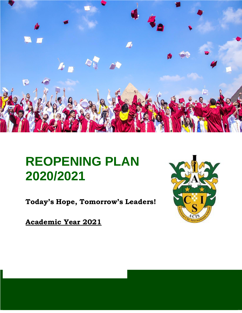

# **REOPENING PLAN 2020/2021**

**Today's Hope, Tomorrow's Leaders!**

**Academic Year 2021**

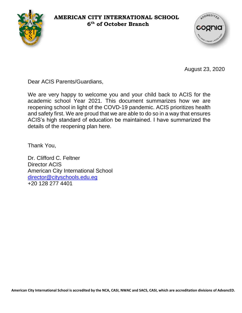#### **AMERICAN CITY INTERNATIONAL SCHOOL 6 th of October Branch**





August 23, 2020

Dear ACIS Parents/Guardians,

We are very happy to welcome you and your child back to ACIS for the academic school Year 2021. This document summarizes how we are reopening school in light of the COVD-19 pandemic. ACIS prioritizes health and safety first. We are proud that we are able to do so in a way that ensures ACIS's high standard of education be maintained. I have summarized the details of the reopening plan here.

Thank You,

Dr. Clifford C. Feltner Director ACIS American City International School [director@cityschools.edu.eg](mailto:director@cityschools.edu.eg) +20 128 277 4401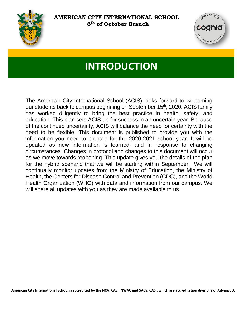



## **INTRODUCTION**

The American City International School (ACIS) looks forward to welcoming our students back to campus beginning on September 15<sup>th</sup>, 2020. ACIS family has worked diligently to bring the best practice in health, safety, and education. This plan sets ACIS up for success in an uncertain year. Because of the continued uncertainty, ACIS will balance the need for certainty with the need to be flexible. This document is published to provide you with the information you need to prepare for the 2020-2021 school year. It will be updated as new information is learned, and in response to changing circumstances. Changes in protocol and changes to this document will occur as we move towards reopening. This update gives you the details of the plan for the hybrid scenario that we will be starting within September. We will continually monitor updates from the Ministry of Education, the Ministry of Health, the Centers for Disease Control and Prevention (CDC), and the World Health Organization (WHO) with data and information from our campus. We will share all updates with you as they are made available to us.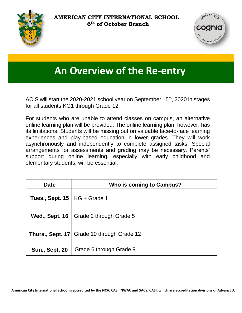



### **An Overview of the Re-entry**

ACIS will start the 2020-2021 school year on September 15<sup>th</sup>, 2020 in stages for all students KG1 through Grade 12.

For students who are unable to attend classes on campus, an alternative online learning plan will be provided. The online learning plan, however, has its limitations. Students will be missing out on valuable face-to-face learning experiences and play-based education in lower grades. They will work asynchronously and independently to complete assigned tasks. Special arrangements for assessments and grading may be necessary. Parents' support during online learning, especially with early childhood and elementary students, will be essential.

| <b>Date</b>                           | Who is coming to Campus?                     |
|---------------------------------------|----------------------------------------------|
| <b>Tues., Sept. 15   KG + Grade 1</b> |                                              |
| <b>Wed., Sept. 16</b>                 | Grade 2 through Grade 5                      |
|                                       | Thurs., Sept. 17   Grade 10 through Grade 12 |
| <b>Sun., Sept, 20</b>                 | Grade 6 through Grade 9                      |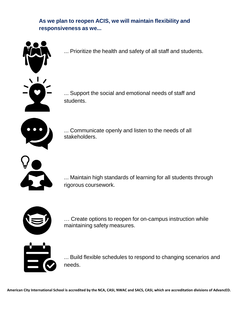**As we plan to reopen ACIS, we will maintain flexibility and responsiveness as we...**



... Prioritize the health and safety of all staff and students.

... Support the social and emotional needs of staff and students.



... Communicate openly and listen to the needs of all stakeholders.



... Maintain high standards of learning for all students through rigorous coursework.



… Create options to reopen for on-campus instruction while maintaining safety measures.



... Build flexible schedules to respond to changing scenarios and needs.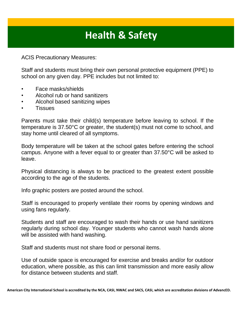## **Health & Safety**

ACIS Precautionary Measures:

Staff and students must bring their own personal protective equipment (PPE) to school on any given day. PPE includes but not limited to:

- Face masks/shields
- Alcohol rub or hand sanitizers
- Alcohol based sanitizing wipes
- **Tissues**

Parents must take their child(s) temperature before leaving to school. If the temperature is 37.50°C or greater, the student(s) must not come to school, and stay home until cleared of all symptoms.

Body temperature will be taken at the school gates before entering the school campus. Anyone with a fever equal to or greater than 37.50°C will be asked to leave.

Physical distancing is always to be practiced to the greatest extent possible according to the age of the students.

Info graphic posters are posted around the school.

Staff is encouraged to properly ventilate their rooms by opening windows and using fans regularly.

Students and staff are encouraged to wash their hands or use hand sanitizers regularly during school day. Younger students who cannot wash hands alone will be assisted with hand washing.

Staff and students must not share food or personal items.

Use of outside space is encouraged for exercise and breaks and/or for outdoor education, where possible, as this can limit transmission and more easily allow for distance between students and staff.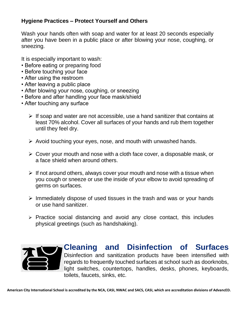#### **Hygiene Practices – Protect Yourself and Others**

Wash your hands often with soap and water for at least 20 seconds especially after you have been in a public place or after blowing your nose, coughing, or sneezing.

It is especially important to wash:

- Before eating or preparing food
- Before touching your face
- After using the restroom
- After leaving a public place
- After blowing your nose, coughing, or sneezing
- Before and after handling your face mask/shield
- After touching any surface
	- $\triangleright$  If soap and water are not accessible, use a hand sanitizer that contains at least 70% alcohol. Cover all surfaces of your hands and rub them together until they feel dry.
	- $\triangleright$  Avoid touching your eyes, nose, and mouth with unwashed hands.
	- $\triangleright$  Cover your mouth and nose with a cloth face cover, a disposable mask, or a face shield when around others.
	- $\triangleright$  If not around others, always cover your mouth and nose with a tissue when you cough or sneeze or use the inside of your elbow to avoid spreading of germs on surfaces.
	- $\triangleright$  Immediately dispose of used tissues in the trash and was or your hands or use hand sanitizer.
	- $\triangleright$  Practice social distancing and avoid any close contact, this includes physical greetings (such as handshaking).



**Cleaning and Disinfection of Surfaces** Disinfection and sanitization products have been intensified with regards to frequently touched surfaces at school such as doorknobs, light switches, countertops, handles, desks, phones, keyboards, toilets, faucets, sinks, etc.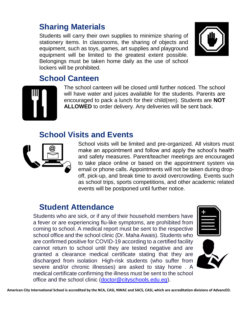### **Sharing Materials**

Students will carry their own supplies to minimize sharing of stationery items. In classrooms, the sharing of objects and equipment, such as toys, games, art supplies and playground equipment will be limited to the greatest extent possible. Belongings must be taken home daily as the use of school lockers will be prohibited.



#### **School Canteen**



The school canteen will be closed until further noticed. The school will have water and juices available for the students. Parents are encouraged to pack a lunch for their child(ren). Students are **NOT ALLOWED** to order delivery. Any deliveries will be sent back.

#### **School Visits and Events**



School visits will be limited and pre-organized. All visitors must make an appointment and follow and apply the school's health and safety measures. Parent/teacher meetings are encouraged to take place online or based on the appointment system via email or phone calls. Appointments will not be taken during dropoff, pick-up, and break time to avoid overcrowding. Events such as school trips, sports competitions, and other academic related events will be postponed until further notice.

#### **Student Attendance**

Students who are sick, or if any of their household members have a fever or are experiencing flu-like symptoms, are prohibited from coming to school. A medical report must be sent to the respective school office and the school clinic (Dr. Maha Awais). Students who are confirmed positive for COVID-19 according to a certified facility cannot return to school until they are tested negative and are granted a clearance medical certificate stating that they are discharged from isolation High-risk students (who suffer from severe and/or chronic illnesses) are asked to stay home . A medical certificate confirming the illness must be sent to the school office and the school clinic [\(doctor@cityschools.edu.eg\)](mailto:doctor@cityschools.edu.eg).



**American City International School is accredited by the NCA, CASI, NWAC and SACS, CASI, which are accreditation divisions of AdvancED.**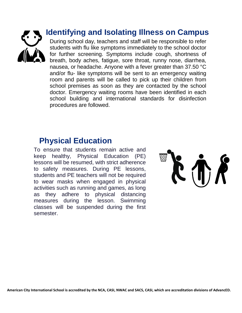

#### **Identifying and Isolating Illness on Campus**

During school day, teachers and staff will be responsible to refer students with flu like symptoms immediately to the school doctor for further screening. Symptoms include cough, shortness of breath, body aches, fatigue, sore throat, runny nose, diarrhea, nausea, or headache. Anyone with a fever greater than 37.50 °C and/or flu- like symptoms will be sent to an emergency waiting room and parents will be called to pick up their children from school premises as soon as they are contacted by the school doctor. Emergency waiting rooms have been identified in each school building and international standards for disinfection procedures are followed.

### **Physical Education**

To ensure that students remain active and keep healthy, Physical Education (PE) lessons will be resumed, with strict adherence to safety measures. During PE lessons, students and PE teachers will not be required to wear masks when engaged in physical activities such as running and games, as long as they adhere to physical distancing measures during the lesson. Swimming classes will be suspended during the first semester.

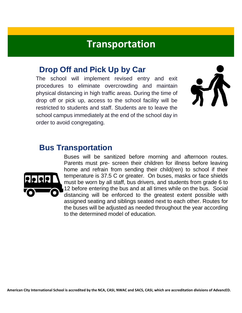### **Transportation**

#### **Drop Off and Pick Up by Car**

The school will implement revised entry and exit procedures to eliminate overcrowding and maintain physical distancing in high traffic areas. During the time of drop off or pick up, access to the school facility will be restricted to students and staff. Students are to leave the school campus immediately at the end of the school day in order to avoid congregating.



#### **Bus Transportation**



Buses will be sanitized before morning and afternoon routes. Parents must pre- screen their children for illness before leaving home and refrain from sending their child(ren) to school if their temperature is 37.5 C or greater. On buses, masks or face shields must be worn by all staff, bus drivers, and students from grade 6 to 12 before entering the bus and at all times while on the bus. Social distancing will be enforced to the greatest extent possible with assigned seating and siblings seated next to each other. Routes for the buses will be adjusted as needed throughout the year according to the determined model of education.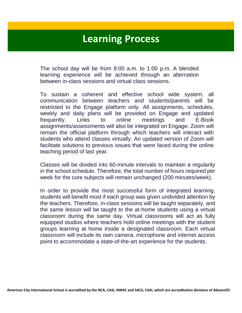### **Learning Process**

The school day will be from 8:00 a.m. to 1:00 p.m. A blended learning experience will be achieved through an alternation between in-class sessions and virtual class sessions.

To sustain a coherent and effective school wide system, all communication between teachers and students/parents will be restricted to the Engage platform only. All assignments, schedules, weekly and daily plans will be provided on Engage and updated frequently. Links to online meetings and E-Book assignments/assessments will also be integrated on Engage. Zoom will remain the official platform through which teachers will interact with students who attend classes virtually. An updated version of Zoom will facilitate solutions to previous issues that were faced during the online teaching period of last year.

Classes will be divided into 60-minute intervals to maintain a regularity in the school schedule. Therefore, the total number of hours required per week for the core subjects will remain unchanged (200 minutes/week).

In order to provide the most successful form of integrated learning, students will benefit most if each group was given undivided attention by the teachers. Therefore, in-class sessions will be taught separately, and the same lesson will be taught to the at-home students using a virtual classroom during the same day. Virtual classrooms will act as fully equipped studios where teachers hold online meetings with the student groups learning at home inside a designated classroom. Each virtual classroom will include its own camera, microphone and internet access point to accommodate a state-of-the-art experience for the students.